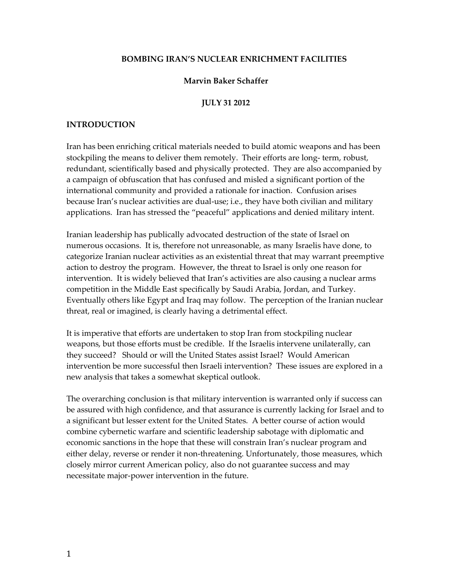#### **BOMBING IRAN'S NUCLEAR ENRICHMENT FACILITIES**

## **Marvin Baker Schaffer**

#### **JULY 31 2012**

#### **INTRODUCTION**

Iran has been enriching critical materials needed to build atomic weapons and has been stockpiling the means to deliver them remotely. Their efforts are long- term, robust, redundant, scientifically based and physically protected. They are also accompanied by a campaign of obfuscation that has confused and misled a significant portion of the international community and provided a rationale for inaction. Confusion arises because Iran's nuclear activities are dual-use; i.e., they have both civilian and military applications. Iran has stressed the "peaceful" applications and denied military intent.

Iranian leadership has publically advocated destruction of the state of Israel on numerous occasions. It is, therefore not unreasonable, as many Israelis have done, to categorize Iranian nuclear activities as an existential threat that may warrant preemptive action to destroy the program. However, the threat to Israel is only one reason for intervention. It is widely believed that Iran's activities are also causing a nuclear arms competition in the Middle East specifically by Saudi Arabia, Jordan, and Turkey. Eventually others like Egypt and Iraq may follow. The perception of the Iranian nuclear threat, real or imagined, is clearly having a detrimental effect.

It is imperative that efforts are undertaken to stop Iran from stockpiling nuclear weapons, but those efforts must be credible. If the Israelis intervene unilaterally, can they succeed? Should or will the United States assist Israel? Would American intervention be more successful then Israeli intervention? These issues are explored in a new analysis that takes a somewhat skeptical outlook.

The overarching conclusion is that military intervention is warranted only if success can be assured with high confidence, and that assurance is currently lacking for Israel and to a significant but lesser extent for the United States. A better course of action would combine cybernetic warfare and scientific leadership sabotage with diplomatic and economic sanctions in the hope that these will constrain Iran's nuclear program and either delay, reverse or render it non-threatening. Unfortunately, those measures, which closely mirror current American policy, also do not guarantee success and may necessitate major-power intervention in the future.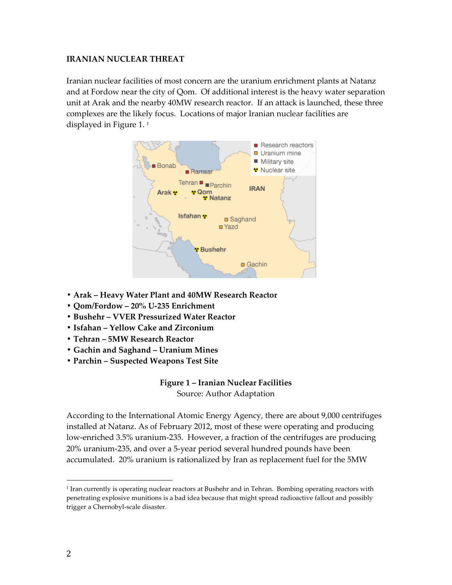## **IRANIAN NUCLEAR THREAT**

Iranian nuclear facilities of most concern are the uranium enrichment plants at Natanz and at Fordow near the city of Qom. Of additional interest is the heavy water separation unit at Arak and the nearby 40MW research reactor. If an attack is launched, these three complexes are the likely focus. Locations of major Iranian nuclear facilities are displayed in Figure 1. <sup>1</sup>



- **Arak – Heavy Water Plant and 40MW Research Reactor**
- **Qom/Fordow – 20% U-235 Enrichment**
- **Bushehr – VVER Pressurized Water Reactor**
- **Isfahan – Yellow Cake and Zirconium**
- **Tehran – 5MW Research Reactor**
- **Gachin and Saghand – Uranium Mines**
- **Parchin – Suspected Weapons Test Site**

# **Figure 1 – Iranian Nuclear Facilities**

Source: Author Adaptation

According to the International Atomic Energy Agency, there are about 9,000 centrifuges installed at Natanz. As of February 2012, most of these were operating and producing low-enriched 3.5% uranium-235. However, a fraction of the centrifuges are producing 20% uranium-235, and over a 5-year period several hundred pounds have been accumulated. 20% uranium is rationalized by Iran as replacement fuel for the 5MW

<sup>1</sup> Iran currently is operating nuclear reactors at Bushehr and in Tehran. Bombing operating reactors with penetrating explosive munitions is a bad idea because that might spread radioactive fallout and possibly trigger a Chernobyl-scale disaster.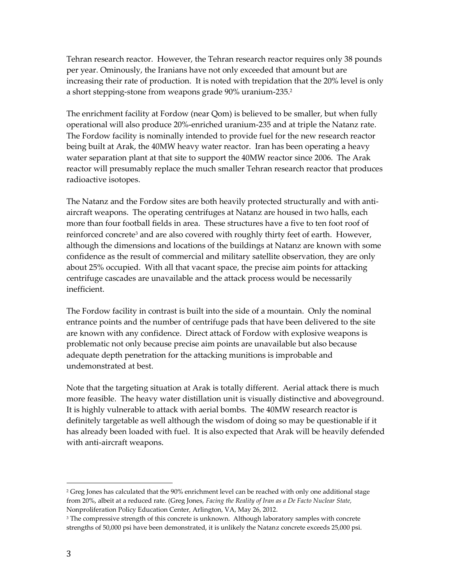Tehran research reactor. However, the Tehran research reactor requires only 38 pounds per year. Ominously, the Iranians have not only exceeded that amount but are increasing their rate of production. It is noted with trepidation that the 20% level is only a short stepping-stone from weapons grade 90% uranium-235. 2

The enrichment facility at Fordow (near Qom) is believed to be smaller, but when fully operational will also produce 20%-enriched uranium-235 and at triple the Natanz rate. The Fordow facility is nominally intended to provide fuel for the new research reactor being built at Arak, the 40MW heavy water reactor. Iran has been operating a heavy water separation plant at that site to support the 40MW reactor since 2006. The Arak reactor will presumably replace the much smaller Tehran research reactor that produces radioactive isotopes.

The Natanz and the Fordow sites are both heavily protected structurally and with antiaircraft weapons. The operating centrifuges at Natanz are housed in two halls, each more than four football fields in area. These structures have a five to ten foot roof of reinforced concrete<sup>3</sup> and are also covered with roughly thirty feet of earth. However, although the dimensions and locations of the buildings at Natanz are known with some confidence as the result of commercial and military satellite observation, they are only about 25% occupied. With all that vacant space, the precise aim points for attacking centrifuge cascades are unavailable and the attack process would be necessarily inefficient.

The Fordow facility in contrast is built into the side of a mountain. Only the nominal entrance points and the number of centrifuge pads that have been delivered to the site are known with any confidence. Direct attack of Fordow with explosive weapons is problematic not only because precise aim points are unavailable but also because adequate depth penetration for the attacking munitions is improbable and undemonstrated at best.

Note that the targeting situation at Arak is totally different. Aerial attack there is much more feasible. The heavy water distillation unit is visually distinctive and aboveground. It is highly vulnerable to attack with aerial bombs. The 40MW research reactor is definitely targetable as well although the wisdom of doing so may be questionable if it has already been loaded with fuel. It is also expected that Arak will be heavily defended with anti-aircraft weapons.

<sup>&</sup>lt;sup>2</sup> Greg Jones has calculated that the 90% enrichment level can be reached with only one additional stage from 20%, albeit at a reduced rate. (Greg Jones, *Facing the Reality of Iran as a De Facto Nuclear State,* Nonproliferation Policy Education Center, Arlington, VA, May 26, 2012.

<sup>&</sup>lt;sup>3</sup> The compressive strength of this concrete is unknown. Although laboratory samples with concrete strengths of 50,000 psi have been demonstrated, it is unlikely the Natanz concrete exceeds 25,000 psi.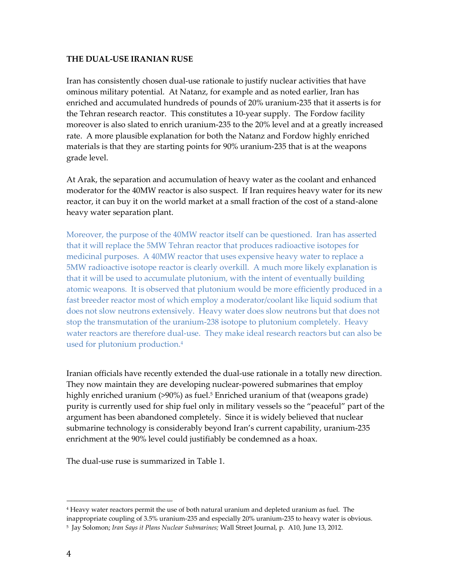#### **THE DUAL-USE IRANIAN RUSE**

Iran has consistently chosen dual-use rationale to justify nuclear activities that have ominous military potential. At Natanz, for example and as noted earlier, Iran has enriched and accumulated hundreds of pounds of 20% uranium-235 that it asserts is for the Tehran research reactor. This constitutes a 10-year supply. The Fordow facility moreover is also slated to enrich uranium-235 to the 20% level and at a greatly increased rate. A more plausible explanation for both the Natanz and Fordow highly enriched materials is that they are starting points for 90% uranium-235 that is at the weapons grade level.

At Arak, the separation and accumulation of heavy water as the coolant and enhanced moderator for the 40MW reactor is also suspect. If Iran requires heavy water for its new reactor, it can buy it on the world market at a small fraction of the cost of a stand-alone heavy water separation plant.

Moreover, the purpose of the 40MW reactor itself can be questioned. Iran has asserted that it will replace the 5MW Tehran reactor that produces radioactive isotopes for medicinal purposes. A 40MW reactor that uses expensive heavy water to replace a 5MW radioactive isotope reactor is clearly overkill. A much more likely explanation is that it will be used to accumulate plutonium, with the intent of eventually building atomic weapons. It is observed that plutonium would be more efficiently produced in a fast breeder reactor most of which employ a moderator/coolant like liquid sodium that does not slow neutrons extensively. Heavy water does slow neutrons but that does not stop the transmutation of the uranium-238 isotope to plutonium completely. Heavy water reactors are therefore dual-use. They make ideal research reactors but can also be used for plutonium production.<sup>4</sup>

Iranian officials have recently extended the dual-use rationale in a totally new direction. They now maintain they are developing nuclear-powered submarines that employ highly enriched uranium (>90%) as fuel.<sup>5</sup> Enriched uranium of that (weapons grade) purity is currently used for ship fuel only in military vessels so the "peaceful" part of the argument has been abandoned completely. Since it is widely believed that nuclear submarine technology is considerably beyond Iran's current capability, uranium-235 enrichment at the 90% level could justifiably be condemned as a hoax.

The dual-use ruse is summarized in Table 1.

<sup>4</sup> Heavy water reactors permit the use of both natural uranium and depleted uranium as fuel. The inappropriate coupling of 3.5% uranium-235 and especially 20% uranium-235 to heavy water is obvious.

<sup>5</sup> Jay Solomon; *Iran Says it Plans Nuclear Submarines;* Wall Street Journal, p. A10, June 13, 2012.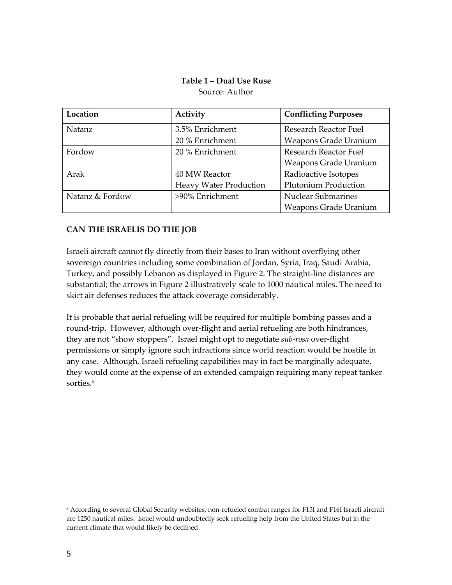## **Table 1 – Dual Use Ruse** Source: Author

| Location        | Activity                      | <b>Conflicting Purposes</b>  |
|-----------------|-------------------------------|------------------------------|
| Natanz          | 3.5% Enrichment               | Research Reactor Fuel        |
|                 | 20 % Enrichment               | Weapons Grade Uranium        |
| Fordow          | 20 % Enrichment               | Research Reactor Fuel        |
|                 |                               | Weapons Grade Uranium        |
| Arak            | 40 MW Reactor                 | Radioactive Isotopes         |
|                 | <b>Heavy Water Production</b> | <b>Plutonium Production</b>  |
| Natanz & Fordow | >90% Enrichment               | <b>Nuclear Submarines</b>    |
|                 |                               | <b>Weapons Grade Uranium</b> |

# **CAN THE ISRAELIS DO THE JOB**

Israeli aircraft cannot fly directly from their bases to Iran without overflying other sovereign countries including some combination of Jordan, Syria, Iraq, Saudi Arabia, Turkey, and possibly Lebanon as displayed in Figure 2. The straight-line distances are substantial; the arrows in Figure 2 illustratively scale to 1000 nautical miles. The need to skirt air defenses reduces the attack coverage considerably.

It is probable that aerial refueling will be required for multiple bombing passes and a round-trip. However, although over-flight and aerial refueling are both hindrances, they are not "show stoppers". Israel might opt to negotiate *sub-rosa* over-flight permissions or simply ignore such infractions since world reaction would be hostile in any case. Although, Israeli refueling capabilities may in fact be marginally adequate, they would come at the expense of an extended campaign requiring many repeat tanker sorties.<sup>6</sup>

<sup>6</sup> According to several Global Security websites, non-refueled combat ranges for F15I and F16I Israeli aircraft are 1250 nautical miles. Israel would undoubtedly seek refueling help from the United States but in the current climate that would likely be declined.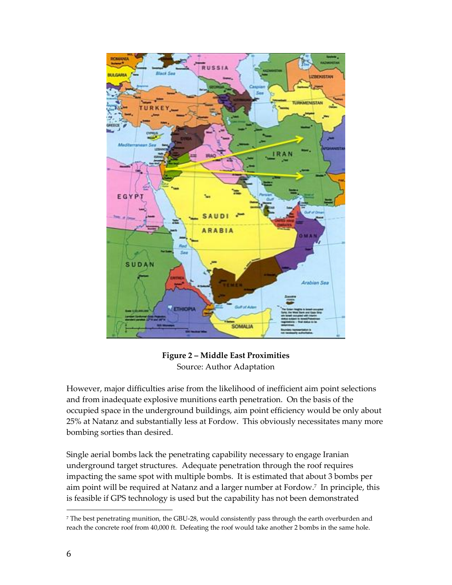

**Figure 2 – Middle East Proximities** Source: Author Adaptation

However, major difficulties arise from the likelihood of inefficient aim point selections and from inadequate explosive munitions earth penetration. On the basis of the occupied space in the underground buildings, aim point efficiency would be only about 25% at Natanz and substantially less at Fordow. This obviously necessitates many more bombing sorties than desired.

Single aerial bombs lack the penetrating capability necessary to engage Iranian underground target structures. Adequate penetration through the roof requires impacting the same spot with multiple bombs. It is estimated that about 3 bombs per aim point will be required at Natanz and a larger number at Fordow.<sup>7</sup> In principle, this is feasible if GPS technology is used but the capability has not been demonstrated

<sup>7</sup> The best penetrating munition, the GBU-28, would consistently pass through the earth overburden and reach the concrete roof from 40,000 ft. Defeating the roof would take another 2 bombs in the same hole.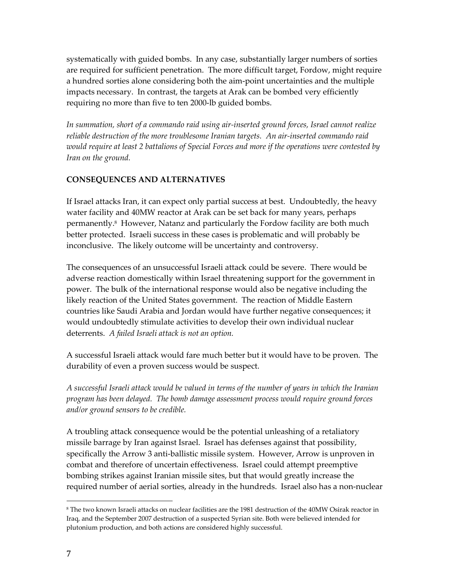systematically with guided bombs. In any case, substantially larger numbers of sorties are required for sufficient penetration. The more difficult target, Fordow, might require a hundred sorties alone considering both the aim-point uncertainties and the multiple impacts necessary. In contrast, the targets at Arak can be bombed very efficiently requiring no more than five to ten 2000-lb guided bombs.

*In summation, short of a commando raid using air-inserted ground forces, Israel cannot realize reliable destruction of the more troublesome Iranian targets. An air-inserted commando raid would require at least 2 battalions of Special Forces and more if the operations were contested by Iran on the ground.*

# **CONSEQUENCES AND ALTERNATIVES**

If Israel attacks Iran, it can expect only partial success at best. Undoubtedly, the heavy water facility and 40MW reactor at Arak can be set back for many years, perhaps permanently.<sup>8</sup> However, Natanz and particularly the Fordow facility are both much better protected. Israeli success in these cases is problematic and will probably be inconclusive. The likely outcome will be uncertainty and controversy.

The consequences of an unsuccessful Israeli attack could be severe. There would be adverse reaction domestically within Israel threatening support for the government in power. The bulk of the international response would also be negative including the likely reaction of the United States government. The reaction of Middle Eastern countries like Saudi Arabia and Jordan would have further negative consequences; it would undoubtedly stimulate activities to develop their own individual nuclear deterrents. *A failed Israeli attack is not an option.*

A successful Israeli attack would fare much better but it would have to be proven. The durability of even a proven success would be suspect.

*A successful Israeli attack would be valued in terms of the number of years in which the Iranian program has been delayed. The bomb damage assessment process would require ground forces and/or ground sensors to be credible.* 

A troubling attack consequence would be the potential unleashing of a retaliatory missile barrage by Iran against Israel. Israel has defenses against that possibility, specifically the Arrow 3 anti-ballistic missile system. However, Arrow is unproven in combat and therefore of uncertain effectiveness. Israel could attempt preemptive bombing strikes against Iranian missile sites, but that would greatly increase the required number of aerial sorties, already in the hundreds. Israel also has a non-nuclear

<sup>8</sup> The two known Israeli attacks on nuclear facilities are the 1981 destruction of the 40MW Osirak reactor in Iraq, and the September 2007 destruction of a suspected Syrian site. Both were believed intended for plutonium production, and both actions are considered highly successful.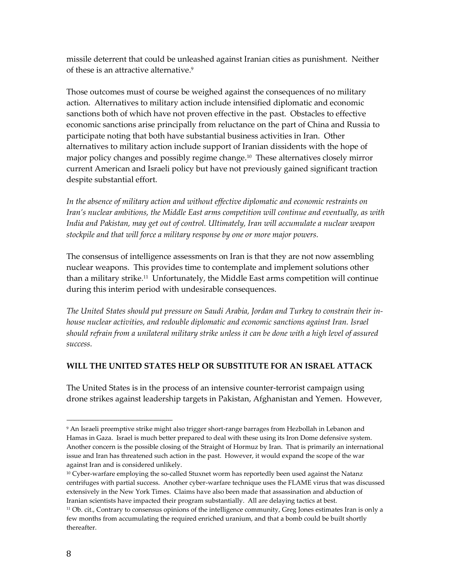missile deterrent that could be unleashed against Iranian cities as punishment. Neither of these is an attractive alternative. 9

Those outcomes must of course be weighed against the consequences of no military action. Alternatives to military action include intensified diplomatic and economic sanctions both of which have not proven effective in the past. Obstacles to effective economic sanctions arise principally from reluctance on the part of China and Russia to participate noting that both have substantial business activities in Iran. Other alternatives to military action include support of Iranian dissidents with the hope of major policy changes and possibly regime change.<sup>10</sup> These alternatives closely mirror current American and Israeli policy but have not previously gained significant traction despite substantial effort.

*In the absence of military action and without effective diplomatic and economic restraints on Iran's nuclear ambitions, the Middle East arms competition will continue and eventually, as with India and Pakistan, may get out of control. Ultimately, Iran will accumulate a nuclear weapon stockpile and that will force a military response by one or more major powers.*

The consensus of intelligence assessments on Iran is that they are not now assembling nuclear weapons. This provides time to contemplate and implement solutions other than a military strike.<sup>11</sup> Unfortunately, the Middle East arms competition will continue during this interim period with undesirable consequences.

*The United States should put pressure on Saudi Arabia, Jordan and Turkey to constrain their inhouse nuclear activities, and redouble diplomatic and economic sanctions against Iran. Israel should refrain from a unilateral military strike unless it can be done with a high level of assured success.*

## **WILL THE UNITED STATES HELP OR SUBSTITUTE FOR AN ISRAEL ATTACK**

The United States is in the process of an intensive counter-terrorist campaign using drone strikes against leadership targets in Pakistan, Afghanistan and Yemen. However,

<sup>9</sup> An Israeli preemptive strike might also trigger short-range barrages from Hezbollah in Lebanon and Hamas in Gaza. Israel is much better prepared to deal with these using its Iron Dome defensive system. Another concern is the possible closing of the Straight of Hormuz by Iran. That is primarily an international issue and Iran has threatened such action in the past. However, it would expand the scope of the war against Iran and is considered unlikely.

 $10$  Cyber-warfare employing the so-called Stuxnet worm has reportedly been used against the Natanz centrifuges with partial success. Another cyber-warfare technique uses the FLAME virus that was discussed extensively in the New York Times. Claims have also been made that assassination and abduction of Iranian scientists have impacted their program substantially. All are delaying tactics at best.

<sup>11</sup> Ob. cit., Contrary to consensus opinions of the intelligence community, Greg Jones estimates Iran is only a few months from accumulating the required enriched uranium, and that a bomb could be built shortly thereafter.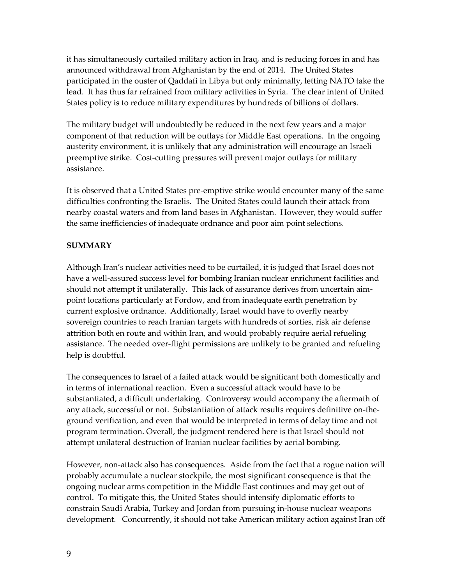it has simultaneously curtailed military action in Iraq, and is reducing forces in and has announced withdrawal from Afghanistan by the end of 2014. The United States participated in the ouster of Qaddafi in Libya but only minimally, letting NATO take the lead. It has thus far refrained from military activities in Syria. The clear intent of United States policy is to reduce military expenditures by hundreds of billions of dollars.

The military budget will undoubtedly be reduced in the next few years and a major component of that reduction will be outlays for Middle East operations. In the ongoing austerity environment, it is unlikely that any administration will encourage an Israeli preemptive strike. Cost-cutting pressures will prevent major outlays for military assistance.

It is observed that a United States pre-emptive strike would encounter many of the same difficulties confronting the Israelis. The United States could launch their attack from nearby coastal waters and from land bases in Afghanistan. However, they would suffer the same inefficiencies of inadequate ordnance and poor aim point selections.

# **SUMMARY**

Although Iran's nuclear activities need to be curtailed, it is judged that Israel does not have a well-assured success level for bombing Iranian nuclear enrichment facilities and should not attempt it unilaterally. This lack of assurance derives from uncertain aimpoint locations particularly at Fordow, and from inadequate earth penetration by current explosive ordnance. Additionally, Israel would have to overfly nearby sovereign countries to reach Iranian targets with hundreds of sorties, risk air defense attrition both en route and within Iran, and would probably require aerial refueling assistance. The needed over-flight permissions are unlikely to be granted and refueling help is doubtful.

The consequences to Israel of a failed attack would be significant both domestically and in terms of international reaction. Even a successful attack would have to be substantiated, a difficult undertaking. Controversy would accompany the aftermath of any attack, successful or not. Substantiation of attack results requires definitive on-theground verification, and even that would be interpreted in terms of delay time and not program termination. Overall, the judgment rendered here is that Israel should not attempt unilateral destruction of Iranian nuclear facilities by aerial bombing.

However, non-attack also has consequences. Aside from the fact that a rogue nation will probably accumulate a nuclear stockpile, the most significant consequence is that the ongoing nuclear arms competition in the Middle East continues and may get out of control. To mitigate this, the United States should intensify diplomatic efforts to constrain Saudi Arabia, Turkey and Jordan from pursuing in-house nuclear weapons development. Concurrently, it should not take American military action against Iran off